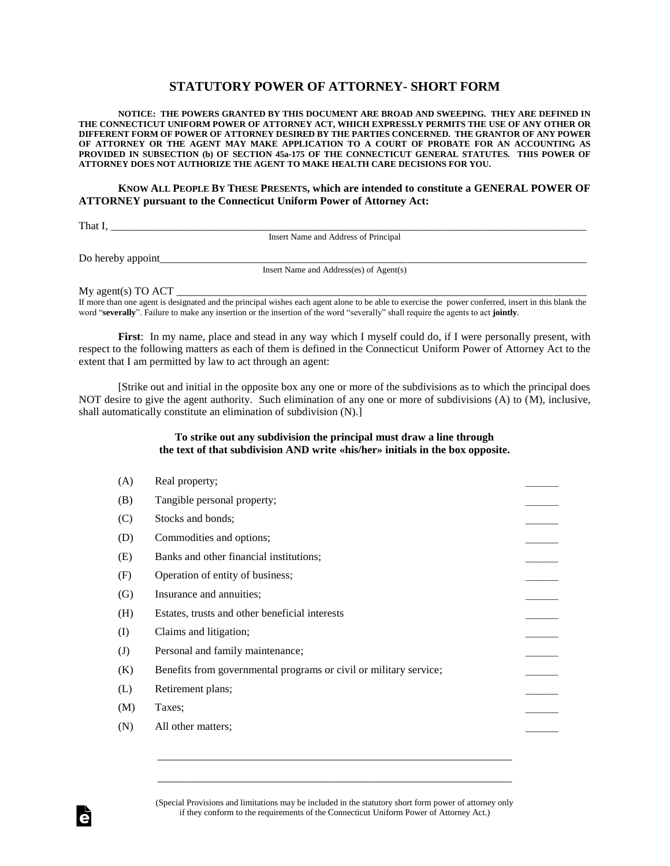## **STATUTORY POWER OF ATTORNEY- SHORT FORM**

**NOTICE: THE POWERS GRANTED BY THIS DOCUMENT ARE BROAD AND SWEEPING. THEY ARE DEFINED IN THE CONNECTICUT UNIFORM POWER OF ATTORNEY ACT, WHICH EXPRESSLY PERMITS THE USE OF ANY OTHER OR DIFFERENT FORM OF POWER OF ATTORNEY DESIRED BY THE PARTIES CONCERNED. THE GRANTOR OF ANY POWER OF ATTORNEY OR THE AGENT MAY MAKE APPLICATION TO A COURT OF PROBATE FOR AN ACCOUNTING AS PROVIDED IN SUBSECTION (b) OF SECTION 45a-175 OF THE CONNECTICUT GENERAL STATUTES. THIS POWER OF ATTORNEY DOES NOT AUTHORIZE THE AGENT TO MAKE HEALTH CARE DECISIONS FOR YOU.**

**KNOW ALL PEOPLE BY THESE PRESENTS, which are intended to constitute a GENERAL POWER OF ATTORNEY pursuant to the Connecticut Uniform Power of Attorney Act:** 

That I,

Insert Name and Address of Principal

Do hereby appoint\_\_\_\_\_\_\_\_\_\_\_\_\_\_\_\_\_\_\_\_\_\_\_\_\_\_\_\_\_\_\_\_\_\_\_\_\_\_\_\_\_\_\_\_\_\_\_\_\_\_\_\_\_\_\_\_\_\_\_\_\_\_\_\_\_\_\_\_\_\_\_\_\_\_\_\_\_\_

Insert Name and Address(es) of Agent(s)

My agent(s) TO ACT \_\_\_\_\_\_\_\_\_\_\_\_\_\_\_\_\_\_\_\_\_\_\_\_\_\_\_\_\_\_\_\_\_\_\_\_\_\_\_\_\_\_\_\_\_\_\_\_\_\_\_\_\_\_\_\_\_\_\_\_\_\_\_\_\_\_\_\_\_\_\_\_\_\_\_

If more than one agent is designated and the principal wishes each agent alone to be able to exercise the power conferred, insert in this blank the word "**severally**". Failure to make any insertion or the insertion of the word "severally" shall require the agents to act **jointly**.

**First**: In my name, place and stead in any way which I myself could do, if I were personally present, with respect to the following matters as each of them is defined in the Connecticut Uniform Power of Attorney Act to the extent that I am permitted by law to act through an agent:

[Strike out and initial in the opposite box any one or more of the subdivisions as to which the principal does NOT desire to give the agent authority. Such elimination of any one or more of subdivisions (A) to (M), inclusive, shall automatically constitute an elimination of subdivision (N).]

## **To strike out any subdivision the principal must draw a line through the text of that subdivision AND write «his/her» initials in the box opposite.**

| Real property;                                                    |  |
|-------------------------------------------------------------------|--|
| Tangible personal property;                                       |  |
| Stocks and bonds;                                                 |  |
| Commodities and options;                                          |  |
| Banks and other financial institutions;                           |  |
| Operation of entity of business;                                  |  |
| Insurance and annuities;                                          |  |
| Estates, trusts and other beneficial interests                    |  |
| Claims and litigation;                                            |  |
| Personal and family maintenance;                                  |  |
| Benefits from governmental programs or civil or military service; |  |
| Retirement plans;                                                 |  |
| Taxes;                                                            |  |
| All other matters;                                                |  |

(Special Provisions and limitations may be included in the statutory short form power of attorney only if they conform to the requirements of the Connecticut Uniform Power of Attorney Act.)